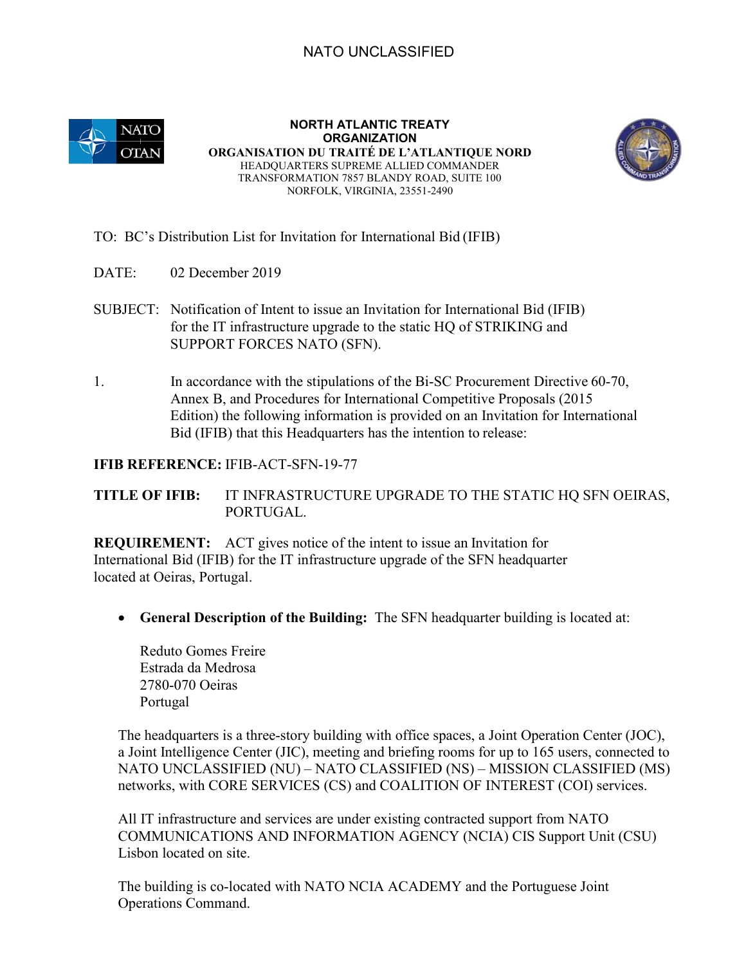### NATO UNCLASSIFIED



**NORTH ATLANTIC TREATY ORGANIZATION ORGANISATION DU TRAITÉ DE L'ATLANTIQUE NORD**  HEADQUARTERS SUPREME ALLIED COMMANDER TRANSFORMATION 7857 BLANDY ROAD, SUITE 100 NORFOLK, VIRGINIA, 23551-2490



#### TO: BC's Distribution List for Invitation for International Bid (IFIB)

- DATE: 02 December 2019
- SUBJECT: Notification of Intent to issue an Invitation for International Bid (IFIB) for the IT infrastructure upgrade to the static HQ of STRIKING and SUPPORT FORCES NATO (SFN).
- 1. In accordance with the stipulations of the Bi-SC Procurement Directive 60-70, Annex B, and Procedures for International Competitive Proposals (2015 Edition) the following information is provided on an Invitation for International Bid (IFIB) that this Headquarters has the intention to release:

#### **IFIB REFERENCE:** IFIB-ACT-SFN-19-77

**TITLE OF IFIB:** IT INFRASTRUCTURE UPGRADE TO THE STATIC HQ SFN OEIRAS, PORTUGAL.

**REQUIREMENT:** ACT gives notice of the intent to issue an Invitation for International Bid (IFIB) for the IT infrastructure upgrade of the SFN headquarter located at Oeiras, Portugal.

• **General Description of the Building:** The SFN headquarter building is located at:

Reduto Gomes Freire Estrada da Medrosa 2780-070 Oeiras Portugal

The headquarters is a three-story building with office spaces, a Joint Operation Center (JOC), a Joint Intelligence Center (JIC), meeting and briefing rooms for up to 165 users, connected to NATO UNCLASSIFIED (NU) – NATO CLASSIFIED (NS) – MISSION CLASSIFIED (MS) networks, with CORE SERVICES (CS) and COALITION OF INTEREST (COI) services.

All IT infrastructure and services are under existing contracted support from NATO COMMUNICATIONS AND INFORMATION AGENCY (NCIA) CIS Support Unit (CSU) Lisbon located on site.

The building is co-located with NATO NCIA ACADEMY and the Portuguese Joint Operations Command.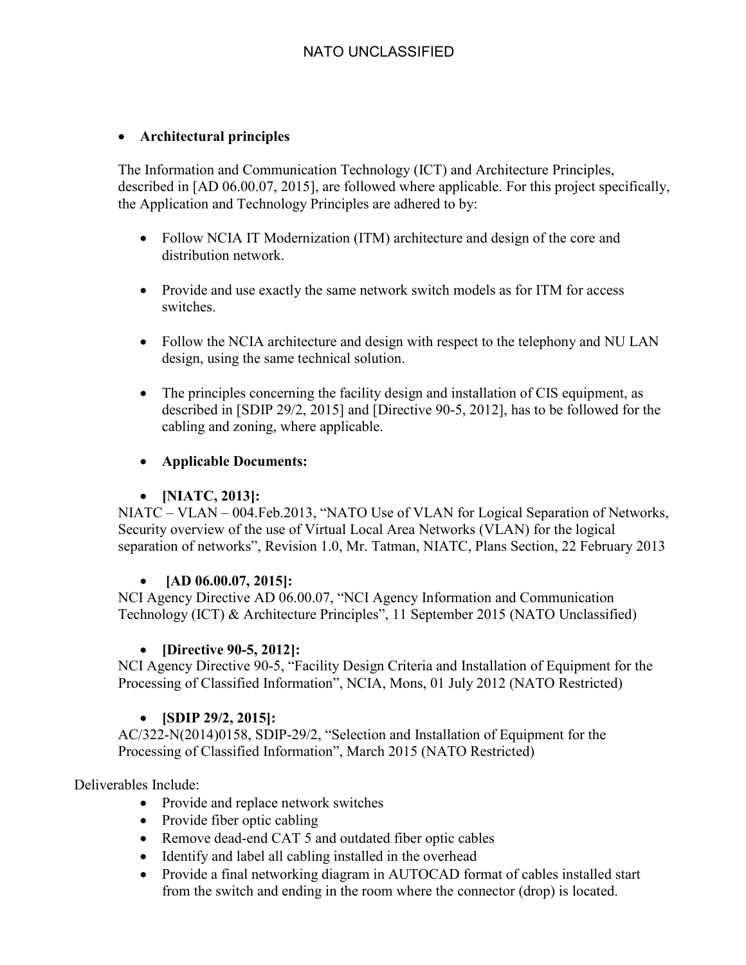### • **Architectural principles**

The Information and Communication Technology (ICT) and Architecture Principles, described in [AD 06.00.07, 2015], are followed where applicable. For this project specifically, the Application and Technology Principles are adhered to by:

- Follow NCIA IT Modernization (ITM) architecture and design of the core and distribution network.
- Provide and use exactly the same network switch models as for ITM for access switches.
- Follow the NCIA architecture and design with respect to the telephony and NU LAN design, using the same technical solution.
- The principles concerning the facility design and installation of CIS equipment, as described in [SDIP 29/2, 2015] and [Directive 90-5, 2012], has to be followed for the cabling and zoning, where applicable.
- **Applicable Documents:**

### • **[NIATC, 2013]:**

NIATC – VLAN – 004.Feb.2013, "NATO Use of VLAN for Logical Separation of Networks, Security overview of the use of Virtual Local Area Networks (VLAN) for the logical separation of networks", Revision 1.0, Mr. Tatman, NIATC, Plans Section, 22 February 2013

### • **[AD 06.00.07, 2015]:**

NCI Agency Directive AD 06.00.07, "NCI Agency Information and Communication Technology (ICT) & Architecture Principles", 11 September 2015 (NATO Unclassified)

# • **[Directive 90-5, 2012]:**

NCI Agency Directive 90-5, "Facility Design Criteria and Installation of Equipment for the Processing of Classified Information", NCIA, Mons, 01 July 2012 (NATO Restricted)

# • **[SDIP 29/2, 2015]:**

AC/322-N(2014)0158, SDIP-29/2, "Selection and Installation of Equipment for the Processing of Classified Information", March 2015 (NATO Restricted)

# Deliverables Include:

- Provide and replace network switches
- Provide fiber optic cabling
- Remove dead-end CAT 5 and outdated fiber optic cables
- Identify and label all cabling installed in the overhead
- Provide a final networking diagram in AUTOCAD format of cables installed start from the switch and ending in the room where the connector (drop) is located.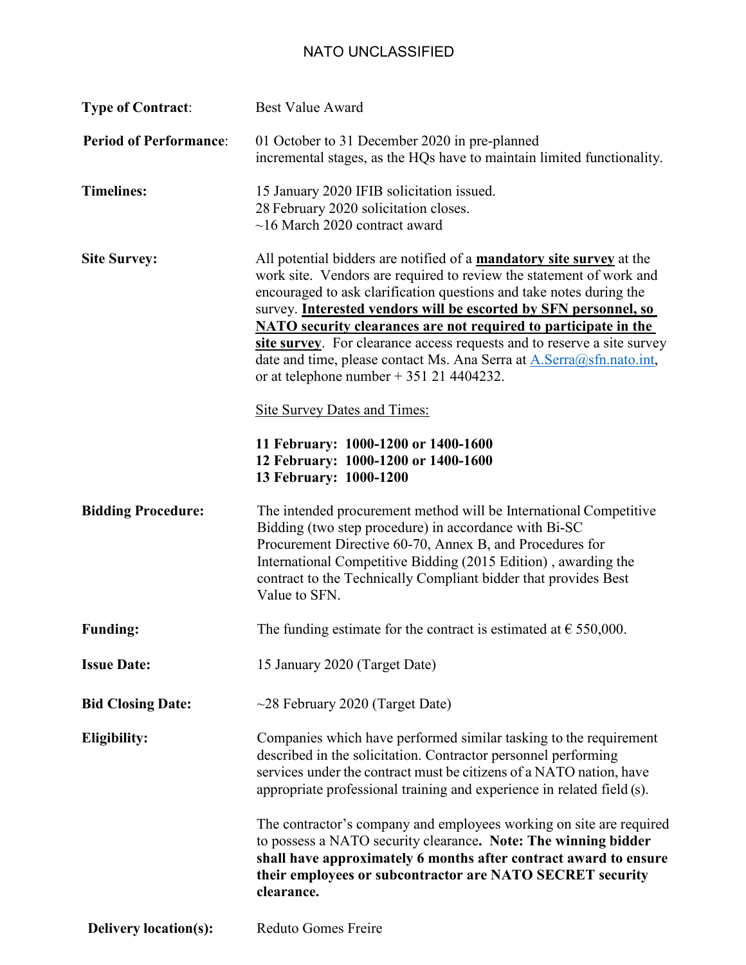# NATO UNCLASSIFIED

| <b>Type of Contract:</b>      | <b>Best Value Award</b>                                                                                                                                                                                                                                                                                                                                                                                                                                                                                                                                                                                  |
|-------------------------------|----------------------------------------------------------------------------------------------------------------------------------------------------------------------------------------------------------------------------------------------------------------------------------------------------------------------------------------------------------------------------------------------------------------------------------------------------------------------------------------------------------------------------------------------------------------------------------------------------------|
| <b>Period of Performance:</b> | 01 October to 31 December 2020 in pre-planned<br>incremental stages, as the HQs have to maintain limited functionality.                                                                                                                                                                                                                                                                                                                                                                                                                                                                                  |
| <b>Timelines:</b>             | 15 January 2020 IFIB solicitation issued.<br>28 February 2020 solicitation closes.<br>$\sim$ 16 March 2020 contract award                                                                                                                                                                                                                                                                                                                                                                                                                                                                                |
| <b>Site Survey:</b>           | All potential bidders are notified of a <b>mandatory site survey</b> at the<br>work site. Vendors are required to review the statement of work and<br>encouraged to ask clarification questions and take notes during the<br>survey. Interested vendors will be escorted by SFN personnel, so<br><b>NATO</b> security clearances are not required to participate in the<br>site survey. For clearance access requests and to reserve a site survey<br>date and time, please contact Ms. Ana Serra at A. Serra@sfn.nato.int,<br>or at telephone number $+ 351214404232$ .<br>Site Survey Dates and Times: |
|                               | 11 February: 1000-1200 or 1400-1600<br>12 February: 1000-1200 or 1400-1600<br>13 February: 1000-1200                                                                                                                                                                                                                                                                                                                                                                                                                                                                                                     |
| <b>Bidding Procedure:</b>     | The intended procurement method will be International Competitive<br>Bidding (two step procedure) in accordance with Bi-SC<br>Procurement Directive 60-70, Annex B, and Procedures for<br>International Competitive Bidding (2015 Edition), awarding the<br>contract to the Technically Compliant bidder that provides Best<br>Value to SFN.                                                                                                                                                                                                                                                             |
| <b>Funding:</b>               | The funding estimate for the contract is estimated at $\epsilon$ 550,000.                                                                                                                                                                                                                                                                                                                                                                                                                                                                                                                                |
| <b>Issue Date:</b>            | 15 January 2020 (Target Date)                                                                                                                                                                                                                                                                                                                                                                                                                                                                                                                                                                            |
| <b>Bid Closing Date:</b>      | $\sim$ 28 February 2020 (Target Date)                                                                                                                                                                                                                                                                                                                                                                                                                                                                                                                                                                    |
| <b>Eligibility:</b>           | Companies which have performed similar tasking to the requirement<br>described in the solicitation. Contractor personnel performing<br>services under the contract must be citizens of a NATO nation, have<br>appropriate professional training and experience in related field (s).                                                                                                                                                                                                                                                                                                                     |
|                               | The contractor's company and employees working on site are required<br>to possess a NATO security clearance. Note: The winning bidder<br>shall have approximately 6 months after contract award to ensure<br>their employees or subcontractor are NATO SECRET security<br>clearance.                                                                                                                                                                                                                                                                                                                     |
| <b>Delivery location(s):</b>  | Reduto Gomes Freire                                                                                                                                                                                                                                                                                                                                                                                                                                                                                                                                                                                      |